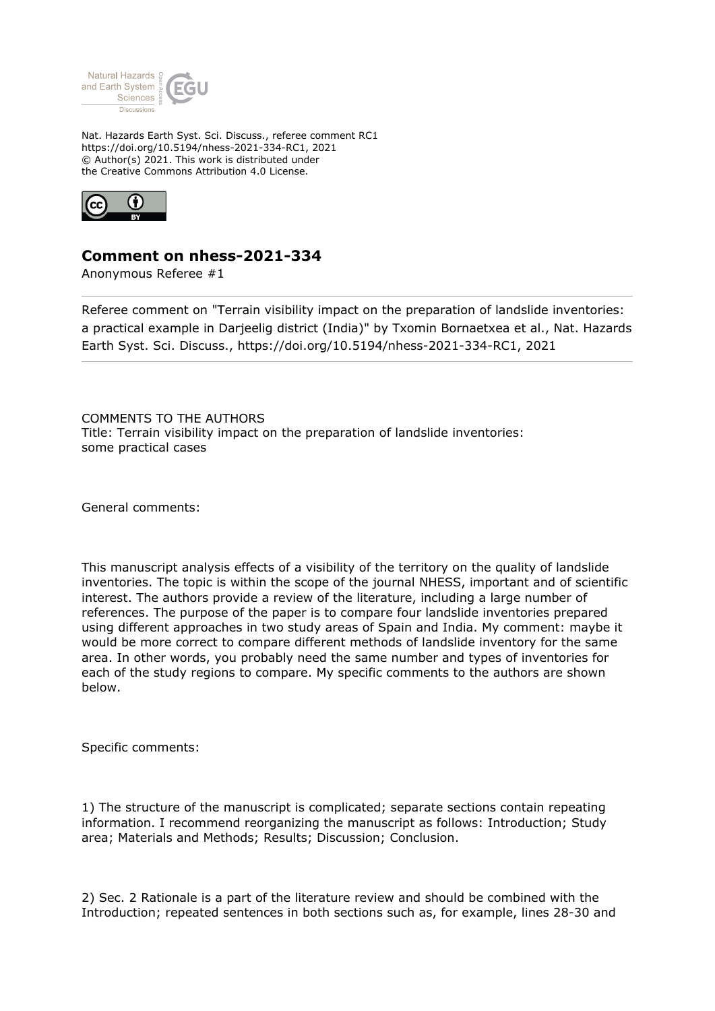

Nat. Hazards Earth Syst. Sci. Discuss., referee comment RC1 https://doi.org/10.5194/nhess-2021-334-RC1, 2021 © Author(s) 2021. This work is distributed under the Creative Commons Attribution 4.0 License.



## **Comment on nhess-2021-334**

Anonymous Referee #1

Referee comment on "Terrain visibility impact on the preparation of landslide inventories: a practical example in Darjeelig district (India)" by Txomin Bornaetxea et al., Nat. Hazards Earth Syst. Sci. Discuss., https://doi.org/10.5194/nhess-2021-334-RC1, 2021

COMMENTS TO THE AUTHORS Title: Terrain visibility impact on the preparation of landslide inventories: some practical cases

General comments:

This manuscript analysis effects of a visibility of the territory on the quality of landslide inventories. The topic is within the scope of the journal NHESS, important and of scientific interest. The authors provide a review of the literature, including a large number of references. The purpose of the paper is to compare four landslide inventories prepared using different approaches in two study areas of Spain and India. My comment: maybe it would be more correct to compare different methods of landslide inventory for the same area. In other words, you probably need the same number and types of inventories for each of the study regions to compare. My specific comments to the authors are shown below.

Specific comments:

1) The structure of the manuscript is complicated; separate sections contain repeating information. I recommend reorganizing the manuscript as follows: Introduction; Study area; Materials and Methods; Results; Discussion; Conclusion.

2) Sec. 2 Rationale is a part of the literature review and should be combined with the Introduction; repeated sentences in both sections such as, for example, lines 28-30 and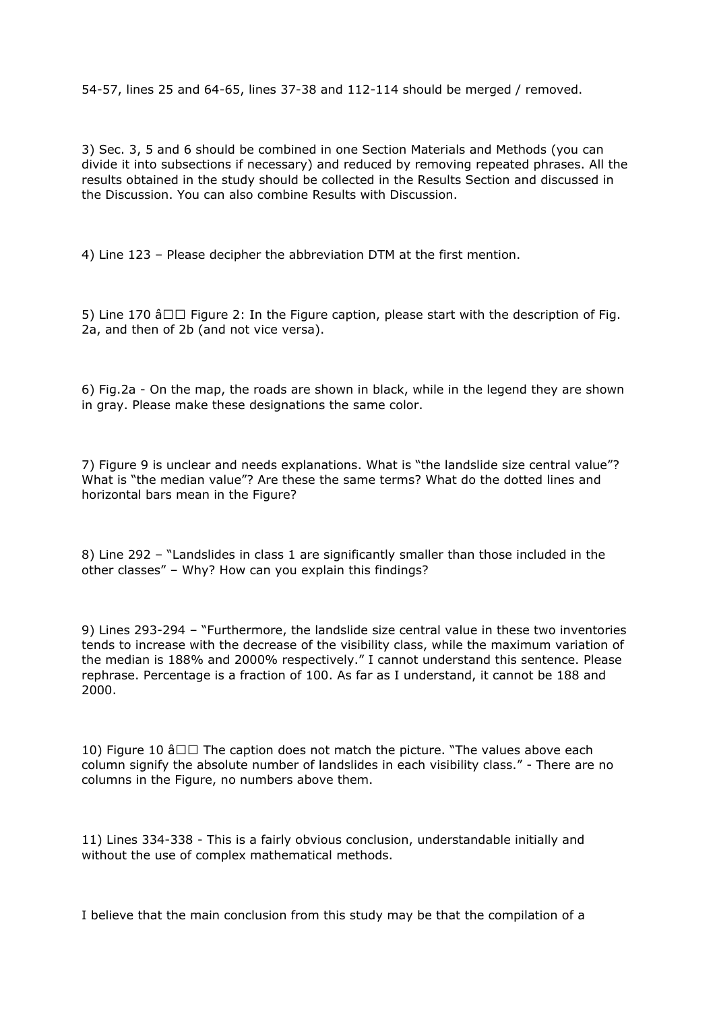54-57, lines 25 and 64-65, lines 37-38 and 112-114 should be merged / removed.

3) Sec. 3, 5 and 6 should be combined in one Section Materials and Methods (you can divide it into subsections if necessary) and reduced by removing repeated phrases. All the results obtained in the study should be collected in the Results Section and discussed in the Discussion. You can also combine Results with Discussion.

4) Line 123 – Please decipher the abbreviation DTM at the first mention.

5) Line 170  $\hat{a} \Box \Box$  Figure 2: In the Figure caption, please start with the description of Fig. 2a, and then of 2b (and not vice versa).

6) Fig.2a - On the map, the roads are shown in black, while in the legend they are shown in gray. Please make these designations the same color.

7) Figure 9 is unclear and needs explanations. What is "the landslide size central value"? What is "the median value"? Are these the same terms? What do the dotted lines and horizontal bars mean in the Figure?

8) Line 292 – "Landslides in class 1 are significantly smaller than those included in the other classes" – Why? How can you explain this findings?

9) Lines 293-294 – "Furthermore, the landslide size central value in these two inventories tends to increase with the decrease of the visibility class, while the maximum variation of the median is 188% and 2000% respectively." I cannot understand this sentence. Please rephrase. Percentage is a fraction of 100. As far as I understand, it cannot be 188 and 2000.

10) Figure 10  $\hat{a} \Box \Box$  The caption does not match the picture. "The values above each column signify the absolute number of landslides in each visibility class." - There are no columns in the Figure, no numbers above them.

11) Lines 334-338 - This is a fairly obvious conclusion, understandable initially and without the use of complex mathematical methods.

I believe that the main conclusion from this study may be that the compilation of a